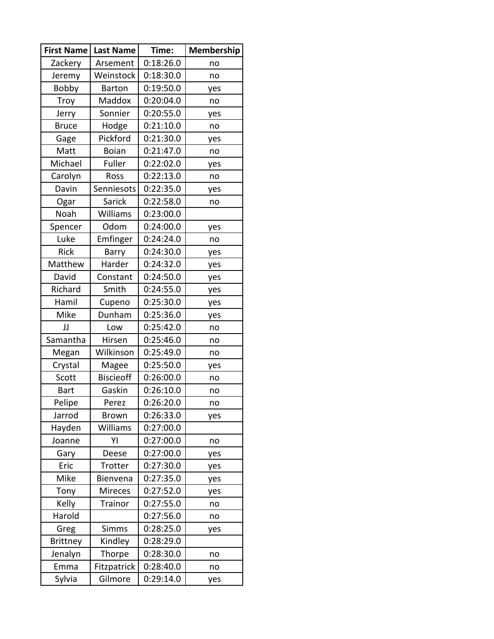| <b>First Name</b> | <b>Last Name</b> | Time:     | Membership |  |
|-------------------|------------------|-----------|------------|--|
| Zackery           | Arsement         | 0:18:26.0 | no         |  |
| Jeremy            | Weinstock        | 0:18:30.0 | no         |  |
| Bobby             | Barton           | 0:19:50.0 | yes        |  |
| <b>Troy</b>       | Maddox           | 0:20:04.0 | no         |  |
| Jerry             | Sonnier          | 0:20:55.0 | yes        |  |
| <b>Bruce</b>      | Hodge            | 0:21:10.0 | no         |  |
| Gage              | Pickford         | 0:21:30.0 | yes        |  |
| Matt              | <b>Boian</b>     | 0:21:47.0 | no         |  |
| Michael           | Fuller           | 0:22:02.0 | yes        |  |
| Carolyn           | Ross             | 0:22:13.0 | no         |  |
| Davin             | Senniesots       | 0:22:35.0 | yes        |  |
| Ogar              | Sarick           | 0:22:58.0 | no         |  |
| Noah              | Williams         | 0:23:00.0 |            |  |
| Spencer           | Odom             | 0:24:00.0 | yes        |  |
| Luke              | Emfinger         | 0:24:24.0 | no         |  |
| <b>Rick</b>       | Barry            | 0:24:30.0 | yes        |  |
| Matthew           | Harder           | 0:24:32.0 | yes        |  |
| David             | Constant         | 0:24:50.0 | yes        |  |
| Richard           | Smith            | 0:24:55.0 | yes        |  |
| Hamil             | Cupeno           | 0:25:30.0 | yes        |  |
| Mike              | Dunham           | 0:25:36.0 | yes        |  |
| IJ                | Low              | 0:25:42.0 | no         |  |
| Samantha          | Hirsen           | 0:25:46.0 | no         |  |
| Megan             | Wilkinson        | 0:25:49.0 | no         |  |
| Crystal           | Magee            | 0:25:50.0 | yes        |  |
| Scott             | <b>Biscieoff</b> | 0:26:00.0 | no         |  |
| <b>Bart</b>       | Gaskin           | 0:26:10.0 | no         |  |
| Pelipe            | Perez            | 0:26:20.0 | no         |  |
| Jarrod            | Brown            | 0:26:33.0 | yes        |  |
| Hayden            | Williams         | 0:27:00.0 |            |  |
| Joanne            | YI               | 0:27:00.0 | no         |  |
| Gary              | Deese            | 0:27:00.0 | yes        |  |
| Eric              | Trotter          | 0:27:30.0 | yes        |  |
| Mike              | Bienvena         | 0:27:35.0 | yes        |  |
| Tony              | <b>Mireces</b>   | 0:27:52.0 | yes        |  |
| Kelly             | Trainor          | 0:27:55.0 | no         |  |
| Harold            |                  | 0:27:56.0 | no         |  |
| Greg              | <b>Simms</b>     | 0:28:25.0 | yes        |  |
| <b>Brittney</b>   | Kindley          | 0:28:29.0 |            |  |
| Jenalyn           | Thorpe           | 0:28:30.0 | no         |  |
| Emma              | Fitzpatrick      | 0:28:40.0 | no         |  |
| Sylvia            | Gilmore          | 0:29:14.0 | yes        |  |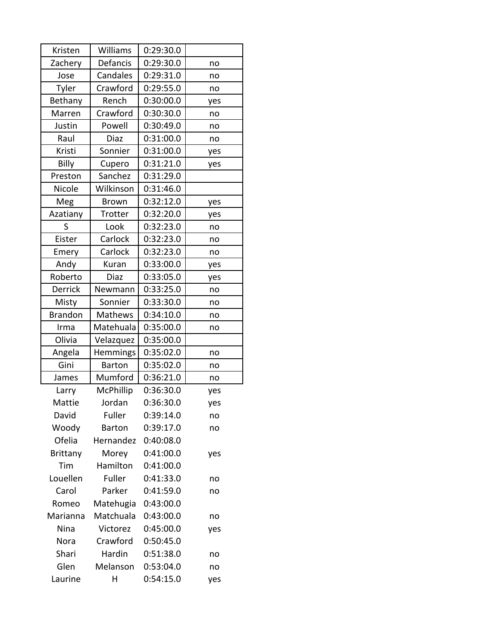| Kristen         | Williams      | 0:29:30.0 |     |
|-----------------|---------------|-----------|-----|
| Zachery         | Defancis      | 0:29:30.0 | no  |
| Jose            | Candales      | 0:29:31.0 | no  |
| Tyler           | Crawford      | 0:29:55.0 | no  |
| Bethany         | Rench         | 0:30:00.0 | yes |
| Marren          | Crawford      | 0:30:30.0 | no  |
| Justin          | Powell        | 0:30:49.0 | no  |
| Raul            | Diaz          | 0:31:00.0 | no  |
| Kristi          | Sonnier       | 0:31:00.0 | yes |
| Billy           | Cupero        | 0:31:21.0 | yes |
| Preston         | Sanchez       | 0:31:29.0 |     |
| Nicole          | Wilkinson     | 0:31:46.0 |     |
| Meg             | <b>Brown</b>  | 0:32:12.0 | yes |
| Azatiany        | Trotter       | 0:32:20.0 | yes |
| S               | Look          | 0:32:23.0 | no  |
| Eister          | Carlock       | 0:32:23.0 | no  |
| Emery           | Carlock       | 0:32:23.0 | no  |
| Andy            | Kuran         | 0:33:00.0 | yes |
| Roberto         | Diaz          | 0:33:05.0 | yes |
| Derrick         | Newmann       | 0:33:25.0 | no  |
| Misty           | Sonnier       | 0:33:30.0 | no  |
| <b>Brandon</b>  | Mathews       | 0:34:10.0 | no  |
| Irma            | Matehuala     | 0:35:00.0 | no  |
| Olivia          | Velazquez     | 0:35:00.0 |     |
| Angela          | Hemmings      | 0:35:02.0 | no  |
| Gini            | <b>Barton</b> | 0:35:02.0 | no  |
| James           | Mumford       | 0:36:21.0 | no  |
| Larry           | McPhillip     | 0:36:30.0 | yes |
| Mattie          | Jordan        | 0:36:30.0 | yes |
| David           | Fuller        | 0:39:14.0 | no  |
| Woody           | <b>Barton</b> | 0:39:17.0 | no  |
| Ofelia          | Hernandez     | 0:40:08.0 |     |
| <b>Brittany</b> | Morey         | 0:41:00.0 | yes |
| Tim             | Hamilton      | 0:41:00.0 |     |
| Louellen        | Fuller        | 0:41:33.0 | no  |
| Carol           | Parker        | 0:41:59.0 | no  |
| Romeo           | Matehugia     | 0:43:00.0 |     |
| Marianna        | Matchuala     | 0:43:00.0 | no  |
| Nina            | Victorez      | 0:45:00.0 | yes |
| Nora            | Crawford      | 0:50:45.0 |     |
| Shari           | Hardin        | 0:51:38.0 | no  |
| Glen            | Melanson      | 0:53:04.0 | no  |
| Laurine         | Η             | 0:54:15.0 | yes |